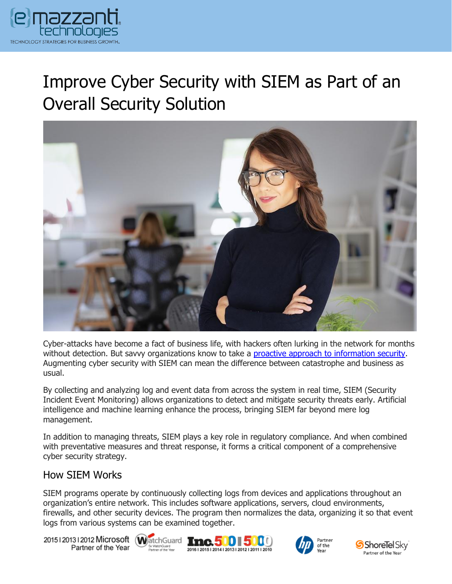

# Improve Cyber Security with SIEM as Part of an Overall Security Solution



Cyber-attacks have become a fact of business life, with hackers often lurking in the network for months without detection. But savvy organizations know to take a [proactive approach to information security.](https://www.emazzanti.net/services/security-and-privacy/) Augmenting cyber security with SIEM can mean the difference between catastrophe and business as usual.

By collecting and analyzing log and event data from across the system in real time, SIEM (Security Incident Event Monitoring) allows organizations to detect and mitigate security threats early. Artificial intelligence and machine learning enhance the process, bringing SIEM far beyond mere log management.

In addition to managing threats, SIEM plays a key role in regulatory compliance. And when combined with preventative measures and threat response, it forms a critical component of a comprehensive cyber security strategy.

#### How SIEM Works

SIEM programs operate by continuously collecting logs from devices and applications throughout an organization's entire network. This includes software applications, servers, cloud environments, firewalls, and other security devices. The program then normalizes the data, organizing it so that event logs from various systems can be examined together.

20151201312012 Microsoft WatchGuard Tnc. 500 500 Partner of the Year







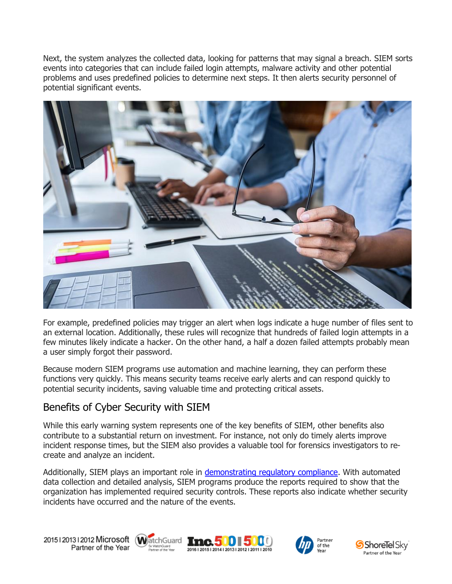Next, the system analyzes the collected data, looking for patterns that may signal a breach. SIEM sorts events into categories that can include failed login attempts, malware activity and other potential problems and uses predefined policies to determine next steps. It then alerts security personnel of potential significant events.



For example, predefined policies may trigger an alert when logs indicate a huge number of files sent to an external location. Additionally, these rules will recognize that hundreds of failed login attempts in a few minutes likely indicate a hacker. On the other hand, a half a dozen failed attempts probably mean a user simply forgot their password.

Because modern SIEM programs use automation and machine learning, they can perform these functions very quickly. This means security teams receive early alerts and can respond quickly to potential security incidents, saving valuable time and protecting critical assets.

### Benefits of Cyber Security with SIEM

While this early warning system represents one of the key benefits of SIEM, other benefits also contribute to a substantial return on investment. For instance, not only do timely alerts improve incident response times, but the SIEM also provides a valuable tool for forensics investigators to recreate and analyze an incident.

Additionally, SIEM plays an important role in [demonstrating regulatory compliance.](https://messagingarchitects.com/compliance-and-data-security-audits/) With automated data collection and detailed analysis, SIEM programs produce the reports required to show that the organization has implemented required security controls. These reports also indicate whether security incidents have occurred and the nature of the events.

20151201312012 Microsoft WatchGuard Tnc. 500 500 Partner of the Year